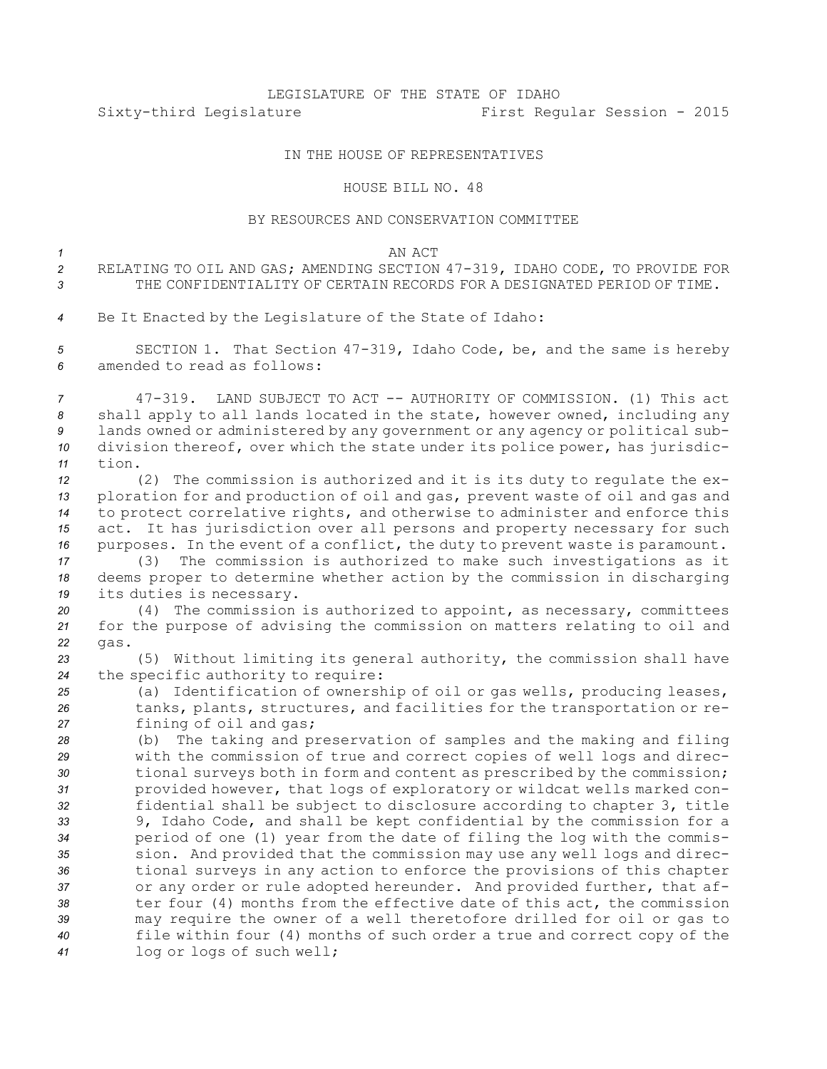## LEGISLATURE OF THE STATE OF IDAHO Sixty-third Legislature First Regular Session - 2015

## IN THE HOUSE OF REPRESENTATIVES

## HOUSE BILL NO. 48

## BY RESOURCES AND CONSERVATION COMMITTEE

*1* AN ACT

| RELATING TO OIL AND GAS; AMENDING SECTION 47-319, IDAHO CODE, TO PROVIDE FOR |
|------------------------------------------------------------------------------|
| THE CONFIDENTIALITY OF CERTAIN RECORDS FOR A DESIGNATED PERIOD OF TIME.      |

*<sup>4</sup>* Be It Enacted by the Legislature of the State of Idaho:

*<sup>5</sup>* SECTION 1. That Section 47-319, Idaho Code, be, and the same is hereby *6* amended to read as follows:

 47-319. LAND SUBJECT TO ACT -- AUTHORITY OF COMMISSION. (1) This act shall apply to all lands located in the state, however owned, including any lands owned or administered by any government or any agency or political sub- division thereof, over which the state under its police power, has jurisdic-*11* tion.

 (2) The commission is authorized and it is its duty to regulate the ex- ploration for and production of oil and gas, prevent waste of oil and gas and to protect correlative rights, and otherwise to administer and enforce this act. It has jurisdiction over all persons and property necessary for such purposes. In the event of <sup>a</sup> conflict, the duty to prevent waste is paramount.

*<sup>17</sup>* (3) The commission is authorized to make such investigations as it *<sup>18</sup>* deems proper to determine whether action by the commission in discharging *<sup>19</sup>* its duties is necessary.

*<sup>20</sup>* (4) The commission is authorized to appoint, as necessary, committees *<sup>21</sup>* for the purpose of advising the commission on matters relating to oil and *22* gas.

*<sup>23</sup>* (5) Without limiting its general authority, the commission shall have *<sup>24</sup>* the specific authority to require:

*<sup>25</sup>* (a) Identification of ownership of oil or gas wells, producing leases, *<sup>26</sup>* tanks, plants, structures, and facilities for the transportation or re-*<sup>27</sup>* fining of oil and gas;

 (b) The taking and preservation of samples and the making and filing with the commission of true and correct copies of well logs and direc- tional surveys both in form and content as prescribed by the commission; provided however, that logs of exploratory or wildcat wells marked con- fidential shall be subject to disclosure according to chapter 3, title 9, Idaho Code, and shall be kept confidential by the commission for <sup>a</sup> period of one (1) year from the date of filing the log with the commis- sion. And provided that the commission may use any well logs and direc- tional surveys in any action to enforce the provisions of this chapter or any order or rule adopted hereunder. And provided further, that af- ter four (4) months from the effective date of this act, the commission may require the owner of <sup>a</sup> well theretofore drilled for oil or gas to file within four (4) months of such order <sup>a</sup> true and correct copy of the log or logs of such well;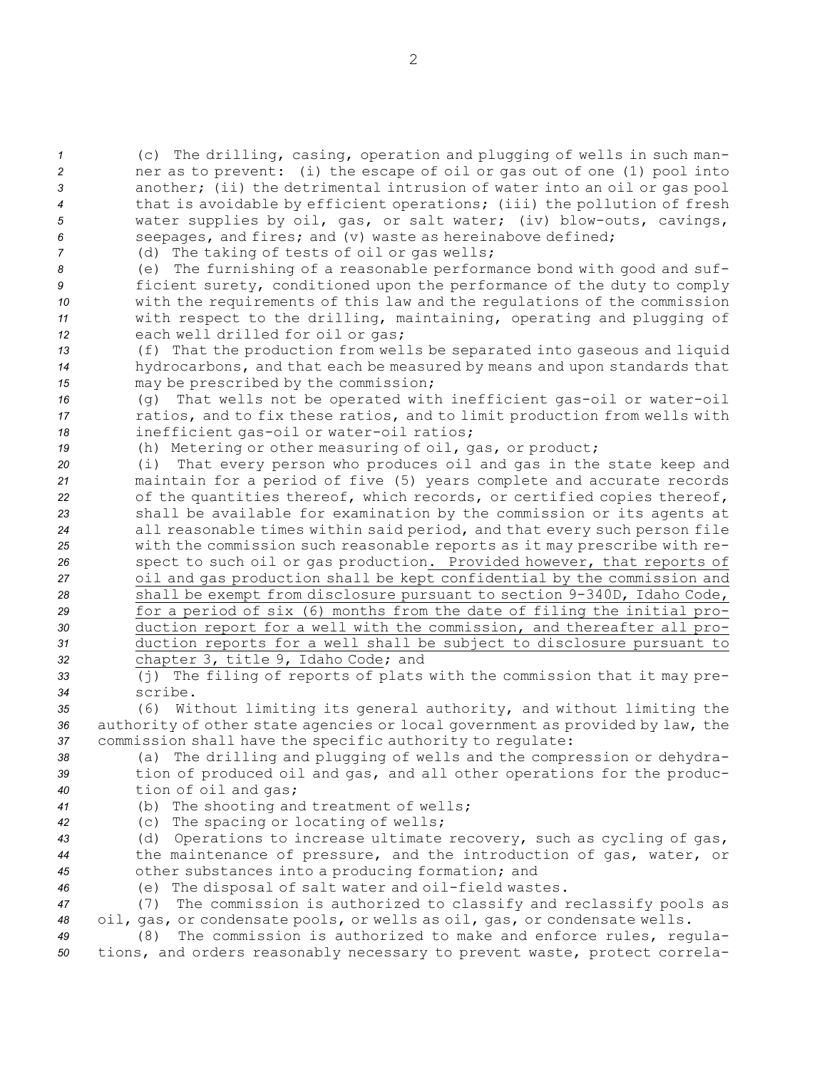| $\mathcal{I}$    | (c) The drilling, casing, operation and plugging of wells in such man-        |
|------------------|-------------------------------------------------------------------------------|
| $\overline{c}$   | ner as to prevent: (i) the escape of oil or gas out of one (1) pool into      |
| 3                | another; (ii) the detrimental intrusion of water into an oil or gas pool      |
| $\boldsymbol{4}$ | that is avoidable by efficient operations; (iii) the pollution of fresh       |
| 5                | water supplies by oil, gas, or salt water; (iv) blow-outs, cavings,           |
| 6                | seepages, and fires; and (v) waste as hereinabove defined;                    |
| $\overline{7}$   | (d) The taking of tests of oil or gas wells;                                  |
| 8                | (e) The furnishing of a reasonable performance bond with good and suf-        |
| 9                | ficient surety, conditioned upon the performance of the duty to comply        |
| 10               | with the requirements of this law and the requlations of the commission       |
| 11               | with respect to the drilling, maintaining, operating and plugging of          |
| 12               | each well drilled for oil or qas;                                             |
| 13               | (f) That the production from wells be separated into gaseous and liquid       |
| 14               | hydrocarbons, and that each be measured by means and upon standards that      |
| 15               | may be prescribed by the commission;                                          |
| 16               | That wells not be operated with inefficient gas-oil or water-oil<br>(q)       |
| 17               | ratios, and to fix these ratios, and to limit production from wells with      |
| 18               | inefficient gas-oil or water-oil ratios;                                      |
| 19               | (h) Metering or other measuring of oil, gas, or product;                      |
| 20               | That every person who produces oil and gas in the state keep and<br>(i)       |
| 21               | maintain for a period of five (5) years complete and accurate records         |
| 22               | of the quantities thereof, which records, or certified copies thereof,        |
| 23               | shall be available for examination by the commission or its agents at         |
| 24               | all reasonable times within said period, and that every such person file      |
| 25               | with the commission such reasonable reports as it may prescribe with re-      |
| 26               | spect to such oil or gas production. Provided however, that reports of        |
| 27               | oil and gas production shall be kept confidential by the commission and       |
| 28               | shall be exempt from disclosure pursuant to section 9-340D, Idaho Code,       |
| 29               | for a period of six (6) months from the date of filing the initial pro-       |
| 30               | duction report for a well with the commission, and thereafter all pro-        |
| 31               | duction reports for a well shall be subject to disclosure pursuant to         |
| 32               | chapter 3, title 9, Idaho Code; and                                           |
| 33               | (j) The filing of reports of plats with the commission that it may pre-       |
| 34               | scribe.                                                                       |
| 35               | (6) Without limiting its general authority, and without limiting the          |
| 36               | authority of other state agencies or local government as provided by law, the |
| 37               | commission shall have the specific authority to regulate:                     |
| 38               | (a) The drilling and plugging of wells and the compression or dehydra-        |
| 39               | tion of produced oil and gas, and all other operations for the produc-        |
| 40               | tion of oil and gas;                                                          |
| 41               | (b) The shooting and treatment of wells;                                      |
| 42               | (c) The spacing or locating of wells;                                         |
| 43               | (d) Operations to increase ultimate recovery, such as cycling of gas,         |
| 44               | the maintenance of pressure, and the introduction of gas, water, or           |
| 45               | other substances into a producing formation; and                              |
| 46               | (e) The disposal of salt water and oil-field wastes.                          |
| 47               | The commission is authorized to classify and reclassify pools as<br>(7)       |
| 48               | oil, gas, or condensate pools, or wells as oil, gas, or condensate wells.     |
| 49               | The commission is authorized to make and enforce rules, regula-<br>(8)        |
| 50               | tions, and orders reasonably necessary to prevent waste, protect correla-     |
|                  |                                                                               |